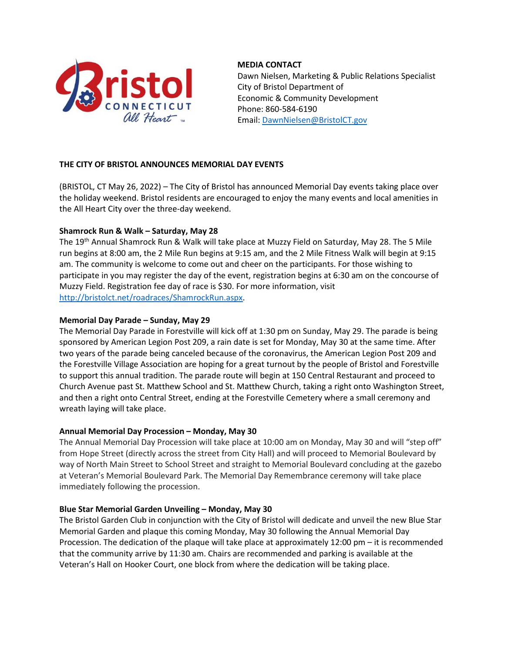

# **MEDIA CONTACT**

 Dawn Nielsen, Marketing & Public Relations Specialist City of Bristol Department of Economic & Community Development Phone: 860-584-6190 Email: [DawnNielsen@BristolCT.gov](mailto:DawnNielsen@BristolCT.gov)

# **THE CITY OF BRISTOL ANNOUNCES MEMORIAL DAY EVENTS**

(BRISTOL, CT May 26, 2022) – The City of Bristol has announced Memorial Day events taking place over the holiday weekend. Bristol residents are encouraged to enjoy the many events and local amenities in the All Heart City over the three-day weekend.

# **Shamrock Run & Walk – Saturday, May 28**

The 19th Annual Shamrock Run & Walk will take place at Muzzy Field on Saturday, May 28. The 5 Mile run begins at 8:00 am, the 2 Mile Run begins at 9:15 am, and the 2 Mile Fitness Walk will begin at 9:15 am. The community is welcome to come out and cheer on the participants. For those wishing to participate in you may register the day of the event, registration begins at 6:30 am on the concourse of Muzzy Field. Registration fee day of race is \$30. For more information, visit [http://bristolct.net/roadraces/ShamrockRun.aspx.](http://bristolct.net/roadraces/ShamrockRun.aspx)

# **Memorial Day Parade – Sunday, May 29**

The Memorial Day Parade in Forestville will kick off at 1:30 pm on Sunday, May 29. The parade is being sponsored by American Legion Post 209, a rain date is set for Monday, May 30 at the same time. After two years of the parade being canceled because of the coronavirus, the American Legion Post 209 and the Forestville Village Association are hoping for a great turnout by the people of Bristol and Forestville to support this annual tradition. The parade route will begin at 150 Central Restaurant and proceed to Church Avenue past St. Matthew School and St. Matthew Church, taking a right onto Washington Street, and then a right onto Central Street, ending at the Forestville Cemetery where a small ceremony and wreath laying will take place.

### **Annual Memorial Day Procession – Monday, May 30**

The Annual Memorial Day Procession will take place at 10:00 am on Monday, May 30 and will "step off" from Hope Street (directly across the street from City Hall) and will proceed to Memorial Boulevard by way of North Main Street to School Street and straight to Memorial Boulevard concluding at the gazebo at Veteran's Memorial Boulevard Park. The Memorial Day Remembrance ceremony will take place immediately following the procession.

### **Blue Star Memorial Garden Unveiling – Monday, May 30**

The Bristol Garden Club in conjunction with the City of Bristol will dedicate and unveil the new Blue Star Memorial Garden and plaque this coming Monday, May 30 following the Annual Memorial Day Procession. The dedication of the plaque will take place at approximately 12:00 pm – it is recommended that the community arrive by 11:30 am. Chairs are recommended and parking is available at the Veteran's Hall on Hooker Court, one block from where the dedication will be taking place.